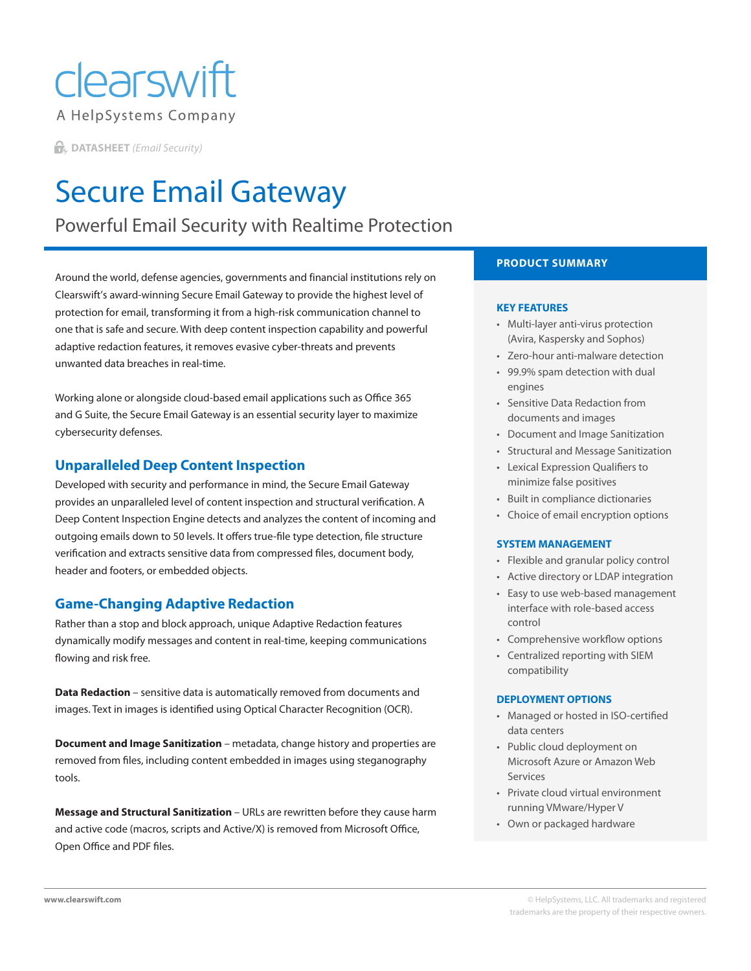## clearswift A HelpSystems Company

**DATASHEET** *(Email Security)*

# Secure Email Gateway

Powerful Email Security with Realtime Protection

Around the world, defense agencies, governments and financial institutions rely on Clearswift's award-winning Secure Email Gateway to provide the highest level of protection for email, transforming it from a high-risk communication channel to one that is safe and secure. With deep content inspection capability and powerful adaptive redaction features, it removes evasive cyber-threats and prevents unwanted data breaches in real-time.

Working alone or alongside cloud-based email applications such as Office 365 and G Suite, the Secure Email Gateway is an essential security layer to maximize cybersecurity defenses.

### **Unparalleled Deep Content Inspection**

Developed with security and performance in mind, the Secure Email Gateway provides an unparalleled level of content inspection and structural verification. A Deep Content Inspection Engine detects and analyzes the content of incoming and outgoing emails down to 50 levels. It offers true-file type detection, file structure verification and extracts sensitive data from compressed files, document body, header and footers, or embedded objects.

## **Game-Changing Adaptive Redaction**

Rather than a stop and block approach, unique Adaptive Redaction features dynamically modify messages and content in real-time, keeping communications flowing and risk free.

**Data Redaction** – sensitive data is automatically removed from documents and images. Text in images is identified using Optical Character Recognition (OCR).

**Document and Image Sanitization** – metadata, change history and properties are removed from files, including content embedded in images using steganography tools.

**Message and Structural Sanitization** – URLs are rewritten before they cause harm and active code (macros, scripts and Active/X) is removed from Microsoft Office, Open Office and PDF files.

### **PRODUCT SUMMARY**

#### **KEY FEATURES**

- Multi-layer anti-virus protection (Avira, Kaspersky and Sophos)
- Zero-hour anti-malware detection
- 99.9% spam detection with dual engines
- Sensitive Data Redaction from documents and images
- Document and Image Sanitization
- Structural and Message Sanitization
- Lexical Expression Qualifiers to minimize false positives
- Built in compliance dictionaries
- Choice of email encryption options

#### **SYSTEM MANAGEMENT**

- Flexible and granular policy control
- Active directory or LDAP integration
- Easy to use web-based management interface with role-based access control
- Comprehensive workflow options
- Centralized reporting with SIEM compatibility

#### **DEPLOYMENT OPTIONS**

- Managed or hosted in ISO-certified data centers
- Public cloud deployment on Microsoft Azure or Amazon Web Services
- Private cloud virtual environment running VMware/Hyper V
- Own or packaged hardware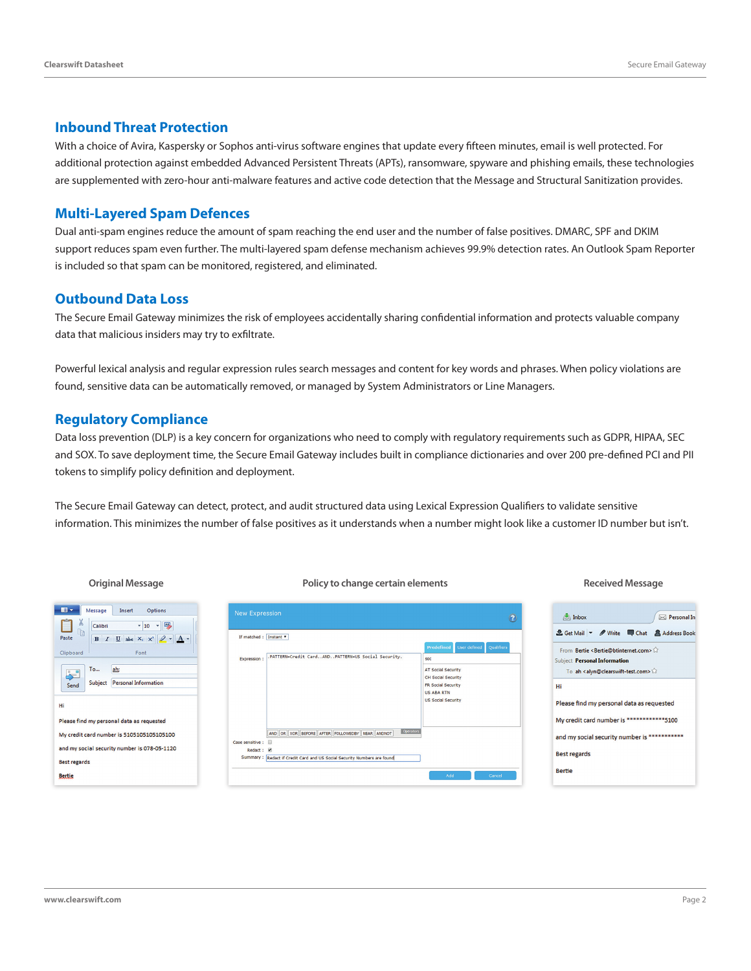#### **Inbound Threat Protection**

With a choice of Avira, Kaspersky or Sophos anti-virus software engines that update every fifteen minutes, email is well protected. For additional protection against embedded Advanced Persistent Threats (APTs), ransomware, spyware and phishing emails, these technologies are supplemented with zero-hour anti-malware features and active code detection that the Message and Structural Sanitization provides.

#### **Multi-Layered Spam Defences**

Dual anti-spam engines reduce the amount of spam reaching the end user and the number of false positives. DMARC, SPF and DKIM support reduces spam even further. The multi-layered spam defense mechanism achieves 99.9% detection rates. An Outlook Spam Reporter is included so that spam can be monitored, registered, and eliminated.

#### **Outbound Data Loss**

The Secure Email Gateway minimizes the risk of employees accidentally sharing confidential information and protects valuable company data that malicious insiders may try to exfiltrate.

Powerful lexical analysis and regular expression rules search messages and content for key words and phrases. When policy violations are found, sensitive data can be automatically removed, or managed by System Administrators or Line Managers.

#### **Regulatory Compliance**

Data loss prevention (DLP) is a key concern for organizations who need to comply with regulatory requirements such as GDPR, HIPAA, SEC and SOX. To save deployment time, the Secure Email Gateway includes built in compliance dictionaries and over 200 pre-defined PCI and PII tokens to simplify policy definition and deployment.

The Secure Email Gateway can detect, protect, and audit structured data using Lexical Expression Qualifiers to validate sensitive information. This minimizes the number of false positives as it understands when a number might look like a customer ID number but isn't.

#### **Original Message Policy to change certain elements Received Message**